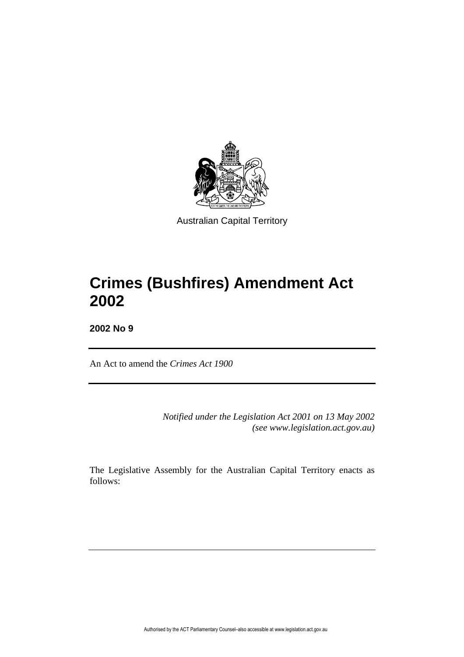

Australian Capital Territory

# **Crimes (Bushfires) Amendment Act 2002**

**2002 No 9**

An Act to amend the *Crimes Act 1900*

*Notified under the Legislation Act 2001 on 13 May 2002 (see www.legislation.act.gov.au)*

The Legislative Assembly for the Australian Capital Territory enacts as follows: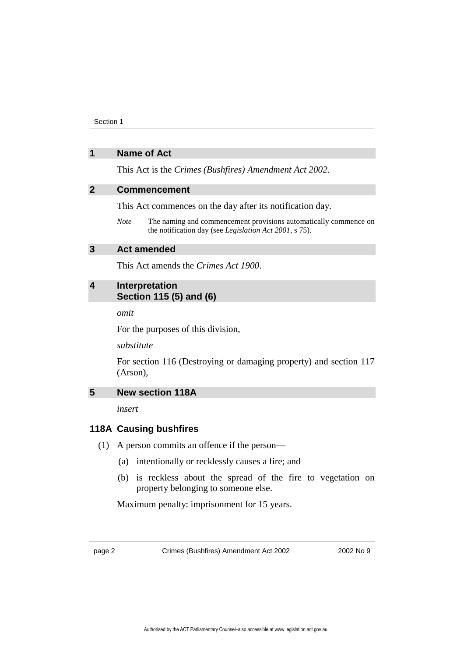Section 1

### **1 Name of Act**

This Act is the *Crimes (Bushfires) Amendment Act 2002*.

## **2 Commencement**

This Act commences on the day after its notification day.

*Note* The naming and commencement provisions automatically commence on the notification day (see *Legislation Act 2001*, s 75).

#### **3 Act amended**

This Act amends the *Crimes Act 1900*.

# **4 Interpretation Section 115 (5) and (6)**

*omit*

For the purposes of this division,

*substitute*

For section 116 (Destroying or damaging property) and section 117 (Arson),

# **5 New section 118A**

*insert*

### **118A Causing bushfires**

(1) A person commits an offence if the person—

- (a) intentionally or recklessly causes a fire; and
- (b) is reckless about the spread of the fire to vegetation on property belonging to someone else.

Maximum penalty: imprisonment for 15 years.

page 2 Crimes (Bushfires) Amendment Act 2002 2002 10 2002 No 9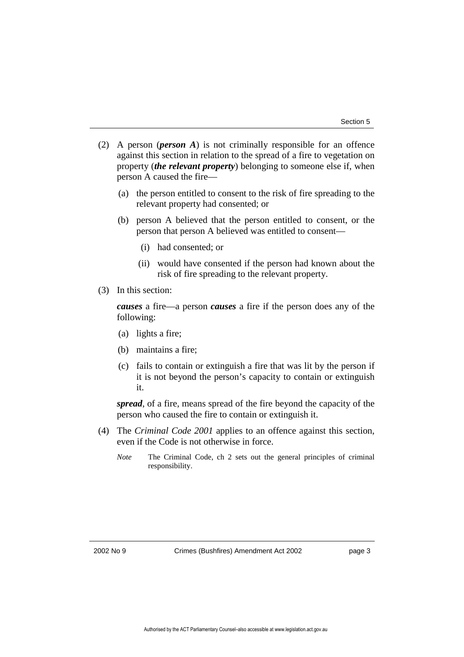- (2) A person (*person A*) is not criminally responsible for an offence against this section in relation to the spread of a fire to vegetation on property (*the relevant property*) belonging to someone else if, when person A caused the fire—
	- (a) the person entitled to consent to the risk of fire spreading to the relevant property had consented; or
	- (b) person A believed that the person entitled to consent, or the person that person A believed was entitled to consent—
		- (i) had consented; or
		- (ii) would have consented if the person had known about the risk of fire spreading to the relevant property.
- (3) In this section:

*causes* a fire—a person *causes* a fire if the person does any of the following:

- (a) lights a fire;
- (b) maintains a fire;
- (c) fails to contain or extinguish a fire that was lit by the person if it is not beyond the person's capacity to contain or extinguish it.

*spread*, of a fire, means spread of the fire beyond the capacity of the person who caused the fire to contain or extinguish it.

- (4) The *Criminal Code 2001* applies to an offence against this section, even if the Code is not otherwise in force.
	- *Note* The Criminal Code, ch 2 sets out the general principles of criminal responsibility.